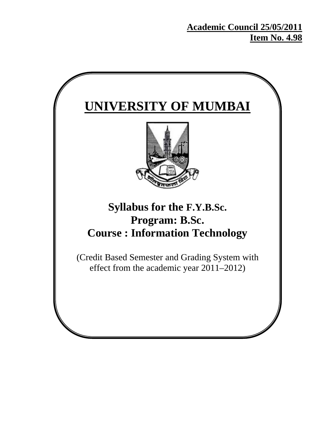**Academic Council 25/05/2011 Item No. 4.98**

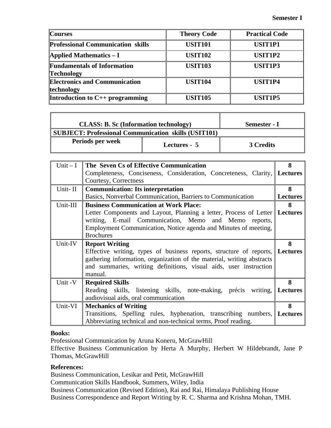٦

| <b>Courses</b>                                          | <b>Theory Code</b> | <b>Practical Code</b> |
|---------------------------------------------------------|--------------------|-----------------------|
| <b>Professional Communication skills</b>                | <b>USIT101</b>     | <b>USIT1P1</b>        |
| <b>Applied Mathematics – I</b>                          | <b>USIT102</b>     | USIT1P2               |
| <b>Fundamentals of Information</b><br><b>Technology</b> | <b>USIT103</b>     | USIT1P3               |
| <b>Electronics and Communication</b><br>technology      | <b>USIT104</b>     | USIT1P4               |
| Introduction to $C_{++}$ programming                    | <b>USIT105</b>     | USIT1P5               |

| <b>CLASS: B. Sc (Information technology)</b>         |              | Semester - I |
|------------------------------------------------------|--------------|--------------|
| SUBJECT: Professional Communication skills (USIT101) |              |              |
| Periods per week                                     | Lectures - 5 | 3 Credits    |

| $Unit - I$ | The Seven Cs of Effective Communication                                       | 8               |
|------------|-------------------------------------------------------------------------------|-----------------|
|            | Completeness, Conciseness, Consideration, Concreteness, Clarity, Lectures     |                 |
|            | Courtesy, Correctness                                                         |                 |
| Unit-II    | <b>Communication: Its interpretation</b>                                      | 8               |
|            | Basics, Nonverbal Communication, Barriers to Communication                    | <b>Lectures</b> |
| Unit-III   | <b>Business Communication at Work Place:</b>                                  | 8               |
|            | Letter Components and Layout, Planning a letter, Process of Letter   Lectures |                 |
|            | writing, E-mail Communication, Memo and Memo reports,                         |                 |
|            | Employment Communication, Notice agenda and Minutes of meeting,               |                 |
|            | <b>Brochures</b>                                                              |                 |
| Unit-IV    | <b>Report Writing</b>                                                         | 8               |
|            | Effective writing, types of business reports, structure of reports, Lectures  |                 |
|            | gathering information, organization of the material, writing abstracts        |                 |
|            | and summaries, writing definitions, visual aids, user instruction             |                 |
|            | manual.                                                                       |                 |
| Unit -V    | <b>Required Skills</b>                                                        | 8               |
|            | Reading skills, listening skills, note-making, précis writing, Lectures       |                 |
|            | audiovisual aids, oral communication                                          |                 |
| Unit-VI    | <b>Mechanics of Writing</b>                                                   | 8               |
|            | Transitions, Spelling rules, hyphenation, transcribing numbers, Lectures      |                 |
|            | Abbreviating technical and non-technical terms, Proof reading.                |                 |

#### **Books:**

 $\mathbb{F}$ 

Professional Communication by Aruna Koneru, McGrawHill

Effective Business Communication by Herta A Murphy, Herbert W Hildebrandt, Jane P Thomas, McGrawHill

# **References:**

Business Communication, Lesikar and Petit, McGrawHill

Communication Skills Handbook, Summers, Wiley, India

Business Communication (Revised Edition), Rai and Rai, Himalaya Publishing House Business Correspondence and Report Writing by R. C. Sharma and Krishna Mohan, TMH.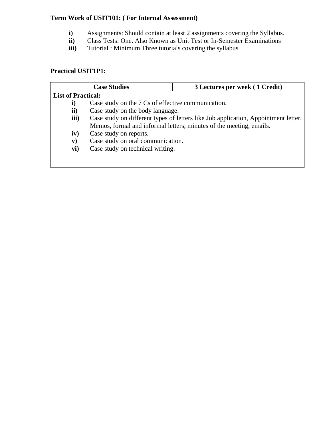# **Term Work of USIT101: ( For Internal Assessment)**

- **i)** Assignments: Should contain at least 2 assignments covering the Syllabus.<br> **ii)** Class Tests: One. Also Known as Unit Test or In-Semester Examinations
- **ii)** Class Tests: One. Also Known as Unit Test or In-Semester Examinations
- **iii**) Tutorial : Minimum Three tutorials covering the syllabus

# **Practical USIT1P1:**

|                           | <b>Case Studies</b>                                                                | 3 Lectures per week (1 Credit)                                      |
|---------------------------|------------------------------------------------------------------------------------|---------------------------------------------------------------------|
| <b>List of Practical:</b> |                                                                                    |                                                                     |
| i)                        | Case study on the 7 Cs of effective communication.                                 |                                                                     |
| ii)                       | Case study on the body language.                                                   |                                                                     |
| iii)                      | Case study on different types of letters like Job application, Appointment letter, |                                                                     |
|                           |                                                                                    | Memos, formal and informal letters, minutes of the meeting, emails. |
| iv)                       | Case study on reports.                                                             |                                                                     |
| $\mathbf{v})$             | Case study on oral communication.                                                  |                                                                     |
| vi)                       | Case study on technical writing.                                                   |                                                                     |
|                           |                                                                                    |                                                                     |
|                           |                                                                                    |                                                                     |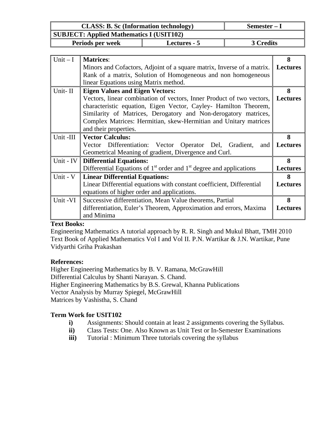|                                                 | <b>CLASS: B. Sc (Information technology)</b><br>Semester - I            |  |                 |
|-------------------------------------------------|-------------------------------------------------------------------------|--|-----------------|
| <b>SUBJECT: Applied Mathematics I (USIT102)</b> |                                                                         |  |                 |
| 3 Credits<br>Periods per week<br>Lectures - 5   |                                                                         |  |                 |
|                                                 |                                                                         |  |                 |
| Unit $-I$                                       | <b>Matrices:</b>                                                        |  | 8               |
|                                                 | Minors and Cofactors, Adjoint of a square matrix, Inverse of a matrix.  |  | <b>Lectures</b> |
|                                                 | Rank of a matrix, Solution of Homogeneous and non homogeneous           |  |                 |
|                                                 | linear Equations using Matrix method.                                   |  |                 |
| Unit-II                                         | <b>Eigen Values and Eigen Vectors:</b>                                  |  | 8               |
|                                                 | Vectors, linear combination of vectors, Inner Product of two vectors,   |  | <b>Lectures</b> |
|                                                 | characteristic equation, Eigen Vector, Cayley- Hamilton Theorem,        |  |                 |
|                                                 | Similarity of Matrices, Derogatory and Non-derogatory matrices,         |  |                 |
|                                                 | Complex Matrices: Hermitian, skew-Hermitian and Unitary matrices        |  |                 |
|                                                 | and their properties.                                                   |  |                 |
| Unit -III                                       | <b>Vector Calculus:</b>                                                 |  | 8               |
|                                                 | Vector Differentiation: Vector Operator Del, Gradient,<br>and           |  | <b>Lectures</b> |
|                                                 | Geometrical Meaning of gradient, Divergence and Curl.                   |  |                 |
| Unit - IV                                       | <b>Differential Equations:</b>                                          |  | 8               |
|                                                 | Differential Equations of $1st$ order and $1st$ degree and applications |  | <b>Lectures</b> |
| Unit - V                                        | <b>Linear Differential Equations:</b>                                   |  | 8               |
|                                                 | Linear Differential equations with constant coefficient, Differential   |  | <b>Lectures</b> |
|                                                 | equations of higher order and applications.                             |  |                 |
| Unit -VI                                        | 8<br>Successive differentiation, Mean Value theorems, Partial           |  |                 |
|                                                 | differentiation, Euler's Theorem, Approximation and errors, Maxima      |  | <b>Lectures</b> |
|                                                 | and Minima                                                              |  |                 |

# **Text Books:**

Engineering Mathematics A tutorial approach by R. R. Singh and Mukul Bhatt, TMH 2010 Text Book of Applied Mathematics Vol I and Vol II. P.N. Wartikar & J.N. Wartikar, Pune Vidyarthi Griha Prakashan

#### **References:**

Higher Engineering Mathematics by B. V. Ramana, McGrawHill Differential Calculus by Shanti Narayan. S. Chand. Higher Engineering Mathematics by B.S. Grewal, Khanna Publications Vector Analysis by Murray Spiegel, McGrawHill Matrices by Vashistha, S. Chand

- **i)** Assignments: Should contain at least 2 assignments covering the Syllabus.
- **ii)** Class Tests: One. Also Known as Unit Test or In-Semester Examinations
- **iii**) Tutorial : Minimum Three tutorials covering the syllabus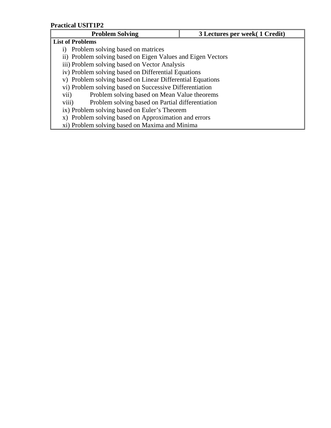| <b>Problem Solving</b>                                      | 3 Lectures per week (1 Credit) |  |
|-------------------------------------------------------------|--------------------------------|--|
| <b>List of Problems</b>                                     |                                |  |
| i) Problem solving based on matrices                        |                                |  |
| ii) Problem solving based on Eigen Values and Eigen Vectors |                                |  |
| iii) Problem solving based on Vector Analysis               |                                |  |
| iv) Problem solving based on Differential Equations         |                                |  |
| v) Problem solving based on Linear Differential Equations   |                                |  |
| vi) Problem solving based on Successive Differentiation     |                                |  |
| Problem solving based on Mean Value theorems<br>vii)        |                                |  |
| Problem solving based on Partial differentiation<br>viii)   |                                |  |
| ix) Problem solving based on Euler's Theorem                |                                |  |
| x) Problem solving based on Approximation and errors        |                                |  |
| xi) Problem solving based on Maxima and Minima              |                                |  |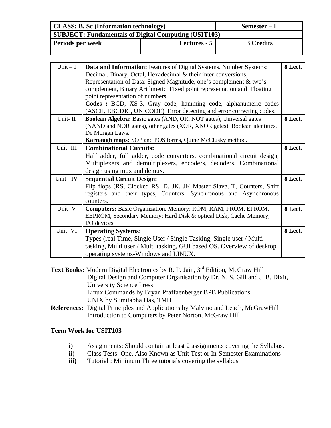| <b>CLASS: B. Sc (Information technology)</b>         |               | $Semester-I$ |
|------------------------------------------------------|---------------|--------------|
| SUBJECT: Fundamentals of Digital Computing (USIT103) |               |              |
| Periods per week                                     | Lectures $-5$ | 3 Credits    |

| $Unit - I$ |                                                                                  |         |
|------------|----------------------------------------------------------------------------------|---------|
|            | Data and Information: Features of Digital Systems, Number Systems:               | 8 Lect. |
|            | Decimal, Binary, Octal, Hexadecimal & their inter conversions,                   |         |
|            | Representation of Data: Signed Magnitude, one's complement & two's               |         |
|            | complement, Binary Arithmetic, Fixed point representation and Floating           |         |
|            | point representation of numbers.                                                 |         |
|            | Codes : BCD, XS-3, Gray code, hamming code, alphanumeric codes                   |         |
|            | (ASCII, EBCDIC, UNICODE), Error detecting and error correcting codes.            |         |
| Unit-II    | Boolean Algebra: Basic gates (AND, OR, NOT gates), Universal gates               | 8 Lect. |
|            | (NAND and NOR gates), other gates (XOR, XNOR gates). Boolean identities,         |         |
|            | De Morgan Laws.                                                                  |         |
|            | Karnaugh maps: SOP and POS forms, Quine McClusky method.                         |         |
| Unit -III  | <b>Combinational Circuits:</b>                                                   | 8 Lect. |
|            | Half adder, full adder, code converters, combinational circuit design,           |         |
|            | Multiplexers and demultiplexers, encoders, decoders, Combinational               |         |
|            | design using mux and demux.                                                      |         |
| Unit - IV  | <b>Sequential Circuit Design:</b>                                                | 8 Lect. |
|            | Flip flops (RS, Clocked RS, D, JK, JK Master Slave, T, Counters, Shift           |         |
|            | registers and their types, Counters: Synchronous and Asynchronous                |         |
|            | counters.                                                                        |         |
| Unit-V     | Computers: Basic Organization, Memory: ROM, RAM, PROM, EPROM,                    | 8 Lect. |
|            |                                                                                  |         |
|            | EEPROM, Secondary Memory: Hard Disk & optical Disk, Cache Memory,<br>I/O devices |         |
|            |                                                                                  |         |
| Unit-VI    | <b>Operating Systems:</b>                                                        | 8 Lect. |
|            | Types (real Time, Single User / Single Tasking, Single user / Multi              |         |
|            | tasking, Multi user / Multi tasking, GUI based OS. Overview of desktop           |         |
|            | operating systems-Windows and LINUX.                                             |         |

Text Books: Modern Digital Electronics by R. P. Jain, 3<sup>rd</sup> Edition, McGraw Hill Digital Design and Computer Organisation by Dr. N. S. Gill and J. B. Dixit, University Science Press Linux Commands by Bryan Pfaffaenberger BPB Publications UNIX by Sumitabha Das, TMH

**References:** Digital Principles and Applications by Malvino and Leach, McGrawHill Introduction to Computers by Peter Norton, McGraw Hill

- **i)** Assignments: Should contain at least 2 assignments covering the Syllabus.
- **ii)** Class Tests: One. Also Known as Unit Test or In-Semester Examinations
- **iii**) Tutorial : Minimum Three tutorials covering the syllabus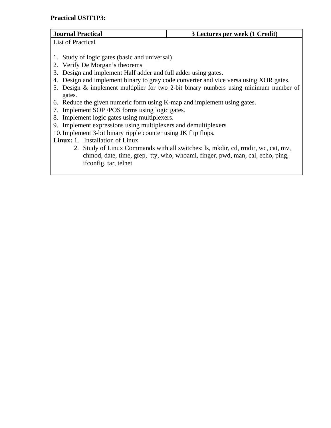# **Practical USIT1P3:**

| <b>Journal Practical</b>                                                              | 3 Lectures per week (1 Credit)                                                        |  |
|---------------------------------------------------------------------------------------|---------------------------------------------------------------------------------------|--|
| <b>List of Practical</b>                                                              |                                                                                       |  |
|                                                                                       |                                                                                       |  |
| 1. Study of logic gates (basic and universal)                                         |                                                                                       |  |
| 2. Verify De Morgan's theorems                                                        |                                                                                       |  |
| 3. Design and implement Half adder and full adder using gates.                        |                                                                                       |  |
|                                                                                       | 4. Design and implement binary to gray code converter and vice versa using XOR gates. |  |
| 5. Design & implement multiplier for two 2-bit binary numbers using minimum number of |                                                                                       |  |
| gates.                                                                                |                                                                                       |  |
| 6. Reduce the given numeric form using K-map and implement using gates.               |                                                                                       |  |

- 7. Implement SOP /POS forms using logic gates.
- 8. Implement logic gates using multiplexers.
- 9. Implement expressions using multiplexers and demultiplexers
- 10.Implement 3-bit binary ripple counter using JK flip flops.

**Linux:** 1.Installation of Linux

2. Study of Linux Commands with all switches: ls, mkdir, cd, rmdir, wc, cat, mv, chmod, date, time, grep, tty, who, whoami, finger, pwd, man, cal, echo, ping, ifconfig, tar, telnet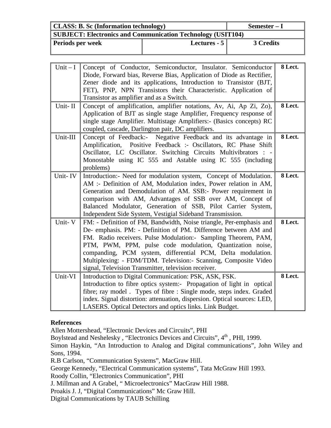| <b>CLASS: B. Sc (Information technology)</b><br>Semester – I       |              |           |
|--------------------------------------------------------------------|--------------|-----------|
| <b>SUBJECT: Electronics and Communication Technology (USIT104)</b> |              |           |
| <b>Periods per week</b>                                            | Lectures - 5 | 3 Credits |

| $Unit - I$ | Concept of Conductor, Semiconductor, Insulator. Semiconductor            | 8 Lect. |
|------------|--------------------------------------------------------------------------|---------|
|            | Diode, Forward bias, Reverse Bias, Application of Diode as Rectifier,    |         |
|            | Zener diode and its applications, Introduction to Transistor (BJT,       |         |
|            | FET), PNP, NPN Transistors their Characteristic. Application of          |         |
|            | Transistor as amplifier and as a Switch.                                 |         |
| Unit-II    | Concept of amplification, amplifier notations, Av, Ai, Ap Zi, Zo),       | 8 Lect. |
|            | Application of BJT as single stage Amplifier, Frequency response of      |         |
|            | single stage Amplifier. Multistage Amplifiers:- (Basics concepts) RC     |         |
|            | coupled, cascade, Darlington pair, DC amplifiers.                        |         |
| Unit-III   | Concept of Feedback:- Negative Feedback and its advantage in             | 8 Lect. |
|            | Amplification, Positive Feedback :- Oscillators, RC Phase Shift          |         |
|            | Oscillator, LC Oscillator. Switching Circuits Multivibrators : -         |         |
|            | Monostable using IC 555 and Astable using IC 555 (including              |         |
|            | problems)                                                                |         |
| Unit-IV    | Introduction:- Need for modulation system, Concept of Modulation.        | 8 Lect. |
|            | AM :- Definition of AM, Modulation index, Power relation in AM,          |         |
|            | Generation and Demodulation of AM. SSB:- Power requirement in            |         |
|            | comparison with AM, Advantages of SSB over AM, Concept of                |         |
|            | Balanced Modulator, Generation of SSB, Pilot Carrier System,             |         |
|            | Independent Side System, Vestigial Sideband Transmission.                |         |
| Unit-V     | FM: - Definition of FM, Bandwidth, Noise triangle, Per-emphasis and      | 8 Lect. |
|            | De- emphasis. PM: - Definition of PM. Difference between AM and          |         |
|            | FM. Radio receivers. Pulse Modulation:- Sampling Theorem, PAM,           |         |
|            | PTM, PWM, PPM, pulse code modulation, Quantization noise,                |         |
|            |                                                                          |         |
|            | companding, PCM system, differential PCM, Delta modulation.              |         |
|            | Multiplexing: - FDM/TDM. Television:- Scanning, Composite Video          |         |
|            | signal, Television Transmitter, television receiver.                     |         |
| Unit-VI    | Introduction to Digital Communication: PSK, ASK, FSK.                    | 8 Lect. |
|            | Introduction to fibre optics system:- Propagation of light in optical    |         |
|            | fibre; ray model. Types of fibre: Single mode, steps index. Graded       |         |
|            | index. Signal distortion: attenuation, dispersion. Optical sources: LED, |         |
|            | LASERS. Optical Detectors and optics links. Link Budget.                 |         |

#### **References**

Allen Mottershead, "Electronic Devices and Circuits", PHI

Boylstead and Neshelesky, "Electronics Devices and Circuits", 4<sup>th</sup>, PHI, 1999.

Simon Haykin, "An Introduction to Analog and Digital communications", John Wiley and Sons, 1994.

R.B Carlson, "Communication Systems", MacGraw Hill.

George Kennedy, "Electrical Communication systems", Tata McGraw Hill 1993.

Roody Collin, "Electronics Communication", PHI

J. Millman and A Grabel, " Microelectronics" MacGraw Hill 1988.

Proakis J. J, "Digital Communications" Mc Graw Hill.

Digital Communications by TAUB Schilling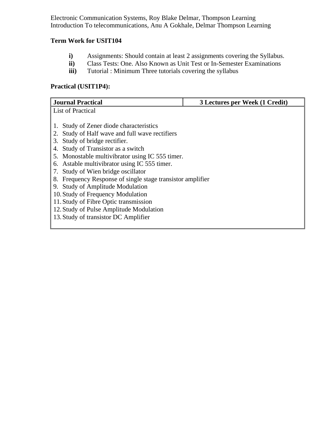Electronic Communication Systems, Roy Blake Delmar, Thompson Learning Introduction To telecommunications, Anu A Gokhale, Delmar Thompson Learning

# **Term Work for USIT104**

- **i)** Assignments: Should contain at least 2 assignments covering the Syllabus.<br> **ii)** Class Tests: One. Also Known as Unit Test or In-Semester Examinations
- **ii)** Class Tests: One. Also Known as Unit Test or In-Semester Examinations
- **iii**) Tutorial : Minimum Three tutorials covering the syllabus

# **Practical (USIT1P4):**

| <b>Journal Practical</b>                                   | 3 Lectures per Week (1 Credit) |
|------------------------------------------------------------|--------------------------------|
| List of Practical                                          |                                |
|                                                            |                                |
| Study of Zener diode characteristics                       |                                |
| Study of Half wave and full wave rectifiers<br>2.          |                                |
| Study of bridge rectifier.<br>3.                           |                                |
| Study of Transistor as a switch<br>4.                      |                                |
| 5. Monostable multivibrator using IC 555 timer.            |                                |
| 6. Astable multivibrator using IC 555 timer.               |                                |
| Study of Wien bridge oscillator<br>7.                      |                                |
| 8. Frequency Response of single stage transistor amplifier |                                |
| <b>Study of Amplitude Modulation</b><br>9.                 |                                |
| 10. Study of Frequency Modulation                          |                                |
| 11. Study of Fibre Optic transmission                      |                                |
| 12. Study of Pulse Amplitude Modulation                    |                                |
| 13. Study of transistor DC Amplifier                       |                                |
|                                                            |                                |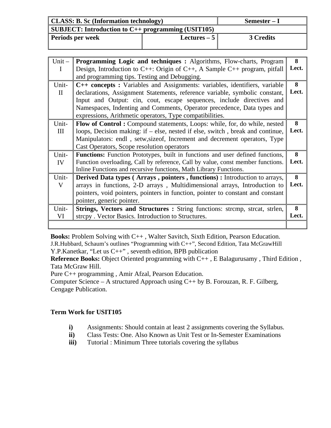| <b>CLASS: B. Sc (Information technology)</b>       |               | Semester – I |
|----------------------------------------------------|---------------|--------------|
| SUBJECT: Introduction to C++ programming (USIT105) |               |              |
| <b>Periods per week</b>                            | Lectures $-5$ | 3 Credits    |

| Unit $-$<br>$\mathbf{I}$ | <b>Programming Logic and techniques :</b> Algorithms, Flow-charts, Program<br>Design, Introduction to $C++$ : Origin of $C++$ , A Sample $C++$ program, pitfall<br>and programming tips. Testing and Debugging.                                                                                                                                                          | 8<br>Lect. |
|--------------------------|--------------------------------------------------------------------------------------------------------------------------------------------------------------------------------------------------------------------------------------------------------------------------------------------------------------------------------------------------------------------------|------------|
| Unit-<br>$\mathbf{H}$    | C++ concepts: Variables and Assignments: variables, identifiers, variable<br>declarations, Assignment Statements, reference variable, symbolic constant,<br>Input and Output: cin, cout, escape sequences, include directives and<br>Namespaces, Indenting and Comments, Operator precedence, Data types and<br>expressions, Arithmetic operators, Type compatibilities. | 8<br>Lect. |
| Unit-<br>Ш               | <b>Flow of Control:</b> Compound statements, Loops: while, for, do while, nested<br>loops, Decision making: if – else, nested if else, switch, break and continue,<br>Manipulators: endl, setw, size of, Increment and decrement operators, Type<br>Cast Operators, Scope resolution operators                                                                           | 8<br>Lect. |
| Unit-<br>IV              | <b>Functions:</b> Function Prototypes, built in functions and user defined functions,<br>Function overloading, Call by reference, Call by value, const member functions.<br>Inline Functions and recursive functions, Math Library Functions.                                                                                                                            | 8<br>Lect. |
| Unit-<br>V               | <b>Derived Data types (Arrays, pointers, functions):</b> Introduction to arrays,<br>arrays in functions, 2-D arrays, Multidimensional arrays, Introduction to<br>pointers, void pointers, pointers in function, pointer to constant and constant<br>pointer, generic pointer.                                                                                            | 8<br>Lect. |
| Unit-<br>VI              | Strings, Vectors and Structures : String functions: strcmp, strcat, strlen,<br>strepy. Vector Basics. Introduction to Structures.                                                                                                                                                                                                                                        | 8<br>Lect. |

**Books:** Problem Solving with C++ , Walter Savitch, Sixth Edition, Pearson Education. J.R.Hubbard, Schaum's outlines "Programming with C++", Second Edition, Tata McGrawHill Y.P.Kanetkar, "Let us C++" , seventh edition, BPB publication

**Reference Books:** Object Oriented programming with C++ , E Balagurusamy , Third Edition , Tata McGraw Hill.

Pure C++ programming , Amir Afzal, Pearson Education.

Computer Science – A structured Approach using  $C_{++}$  by B. Forouzan, R. F. Gilberg, Cengage Publication.

- **i)** Assignments: Should contain at least 2 assignments covering the Syllabus.
- **ii)** Class Tests: One. Also Known as Unit Test or In-Semester Examinations
- **iii**) Tutorial : Minimum Three tutorials covering the syllabus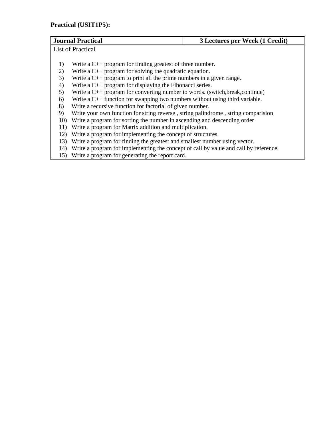# **Practical (USIT1P5):**

| <b>Journal Practical</b><br>3 Lectures per Week (1 Credit)                               |                                                                                      |  |
|------------------------------------------------------------------------------------------|--------------------------------------------------------------------------------------|--|
| <b>List of Practical</b>                                                                 |                                                                                      |  |
|                                                                                          |                                                                                      |  |
| Write a $C_{++}$ program for finding greatest of three number.<br>1)                     |                                                                                      |  |
| Write a $C_{++}$ program for solving the quadratic equation.<br>2)                       |                                                                                      |  |
| Write a $C_{++}$ program to print all the prime numbers in a given range.<br>3)          |                                                                                      |  |
| Write a $C_{++}$ program for displaying the Fibonacci series.<br>4)                      |                                                                                      |  |
| Write a $C_{++}$ program for converting number to words. (switch, break, continue)<br>5) |                                                                                      |  |
| Write a $C_{++}$ function for swapping two numbers without using third variable.<br>6)   |                                                                                      |  |
| Write a recursive function for factorial of given number.<br>8)                          |                                                                                      |  |
| Write your own function for string reverse, string palindrome, string comparision<br>9)  |                                                                                      |  |
| 10)                                                                                      | Write a program for sorting the number in ascending and descending order             |  |
| Write a program for Matrix addition and multiplication.<br>11)                           |                                                                                      |  |
| 12)                                                                                      | Write a program for implementing the concept of structures.                          |  |
| 13)                                                                                      | Write a program for finding the greatest and smallest number using vector.           |  |
| 14)                                                                                      | Write a program for implementing the concept of call by value and call by reference. |  |
| 15)                                                                                      | Write a program for generating the report card.                                      |  |
|                                                                                          |                                                                                      |  |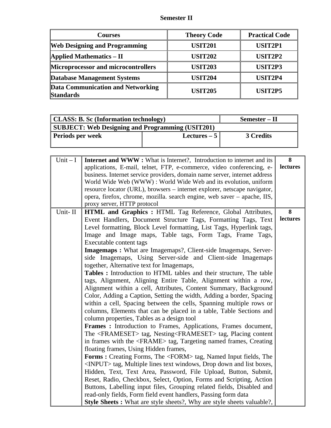# **Semester II**

| <b>Courses</b>                                        | <b>Theory Code</b> | <b>Practical Code</b> |
|-------------------------------------------------------|--------------------|-----------------------|
| <b>Web Designing and Programming</b>                  | <b>USIT201</b>     | <b>USIT2P1</b>        |
| Applied Mathematics $-$ II                            | <b>USIT202</b>     | USIT2P2               |
| Microprocessor and microcontrollers                   | <b>USIT203</b>     | USIT2P3               |
| <b>Database Management Systems</b>                    | <b>USIT204</b>     | USIT2P4               |
| Data Communication and Networking<br><b>Standards</b> | <b>USIT205</b>     | USIT <sub>2P5</sub>   |

| <b>CLASS: B. Sc (Information technology)</b>            |  | Semester – II |
|---------------------------------------------------------|--|---------------|
| <b>SUBJECT: Web Designing and Programming (USIT201)</b> |  |               |
| Periods per week<br>Lectures $-5$                       |  | 3 Credits     |
|                                                         |  |               |

| $Unit - I$ | <b>Internet and WWW:</b> What is Internet?, Introduction to internet and its     | 8        |
|------------|----------------------------------------------------------------------------------|----------|
|            | applications, E-mail, telnet, FTP, e-commerce, video conferencing, e-            | lectures |
|            | business. Internet service providers, domain name server, internet address       |          |
|            | World Wide Web (WWW) : World Wide Web and its evolution, uniform                 |          |
|            | resource locator (URL), browsers – internet explorer, netscape navigator,        |          |
|            | opera, firefox, chrome, mozilla. search engine, web saver - apache, IIS,         |          |
|            | proxy server, HTTP protocol                                                      |          |
| Unit-II    | HTML and Graphics: HTML Tag Reference, Global Attributes,                        | 8        |
|            | Event Handlers, Document Structure Tags, Formatting Tags, Text                   | lectures |
|            | Level formatting, Block Level formatting, List Tags, Hyperlink tags,             |          |
|            | Image and Image maps, Table tags, Form Tags, Frame Tags,                         |          |
|            | Executable content tags                                                          |          |
|            | <b>Imagemaps:</b> What are Imagemaps?, Client-side Imagemaps, Server-            |          |
|            | side Imagemaps, Using Server-side and Client-side Imagemaps                      |          |
|            | together, Alternative text for Imagemaps,                                        |          |
|            | Tables : Introduction to HTML tables and their structure, The table              |          |
|            | tags, Alignment, Aligning Entire Table, Alignment within a row,                  |          |
|            | Alignment within a cell, Attributes, Content Summary, Background                 |          |
|            | Color, Adding a Caption, Setting the width, Adding a border, Spacing             |          |
|            | within a cell, Spacing between the cells, Spanning multiple rows or              |          |
|            | columns, Elements that can be placed in a table, Table Sections and              |          |
|            | column properties, Tables as a design tool                                       |          |
|            | Frames : Introduction to Frames, Applications, Frames document,                  |          |
|            | The <frameset> tag, Nesting<frameset> tag, Placing content</frameset></frameset> |          |
|            | in frames with the <frame/> tag, Targeting named frames, Creating                |          |
|            | floating frames, Using Hidden frames,                                            |          |
|            | <b>Forms:</b> Creating Forms, The <form> tag, Named Input fields, The</form>     |          |
|            | <input/> tag, Multiple lines text windows, Drop down and list boxes,             |          |
|            | Hidden, Text, Text Area, Password, File Upload, Button, Submit,                  |          |
|            | Reset, Radio, Checkbox, Select, Option, Forms and Scripting, Action              |          |
|            | Buttons, Labelling input files, Grouping related fields, Disabled and            |          |
|            | read-only fields, Form field event handlers, Passing form data                   |          |
|            | <b>Style Sheets:</b> What are style sheets?, Why are style sheets valuable?,     |          |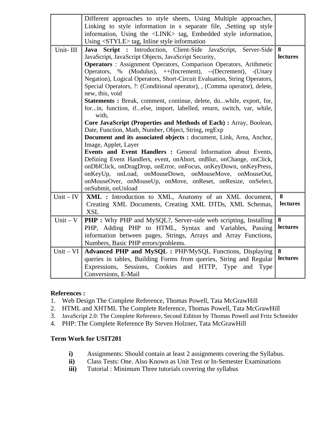|  | Different approaches to style sheets, Using Multiple approaches,<br>Linking to style information in s separate file, , Setting up style<br>information, Using the <link/> tag, Embedded style information, |  |
|--|------------------------------------------------------------------------------------------------------------------------------------------------------------------------------------------------------------|--|
|  | Using <style></style>                                                                                                                                                                                      |  |

# **References :**

- 1. Web Design The Complete Reference, Thomas Powell, Tata McGrawHill
- 2. HTML and XHTML The Complete Reference, Thomas Powell, Tata McGrawHill
- 3. JavaScript 2.0: The Complete Reference, Second Edition by Thomas Powell and Fritz Schneider
- 4. PHP: The Complete Reference By Steven Holzner, Tata McGrawHill

- **i)** Assignments: Should contain at least 2 assignments covering the Syllabus.
- **ii)** Class Tests: One. Also Known as Unit Test or In-Semester Examinations
- **iii**) Tutorial : Minimum Three tutorials covering the syllabus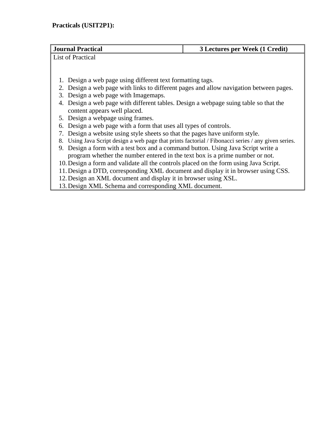| <b>Journal Practical</b>                                                                               | 3 Lectures per Week (1 Credit) |  |  |
|--------------------------------------------------------------------------------------------------------|--------------------------------|--|--|
| List of Practical                                                                                      |                                |  |  |
|                                                                                                        |                                |  |  |
|                                                                                                        |                                |  |  |
| 1. Design a web page using different text formatting tags.                                             |                                |  |  |
| 2. Design a web page with links to different pages and allow navigation between pages.                 |                                |  |  |
| 3. Design a web page with Imagemaps.                                                                   |                                |  |  |
| 4. Design a web page with different tables. Design a webpage suing table so that the                   |                                |  |  |
| content appears well placed.                                                                           |                                |  |  |
| 5. Design a webpage using frames.                                                                      |                                |  |  |
| 6. Design a web page with a form that uses all types of controls.                                      |                                |  |  |
| Design a website using style sheets so that the pages have uniform style.                              |                                |  |  |
| Using Java Script design a web page that prints factorial / Fibonacci series / any given series.<br>8. |                                |  |  |
| 9. Design a form with a test box and a command button. Using Java Script write a                       |                                |  |  |
| program whether the number entered in the text box is a prime number or not.                           |                                |  |  |
| 10. Design a form and validate all the controls placed on the form using Java Script.                  |                                |  |  |
| 11. Design a DTD, corresponding XML document and display it in browser using CSS.                      |                                |  |  |
| 12. Design an XML document and display it in browser using XSL.                                        |                                |  |  |

12.Design an XML document and display it in browser using XSL. 13.Design XML Schema and corresponding XML document.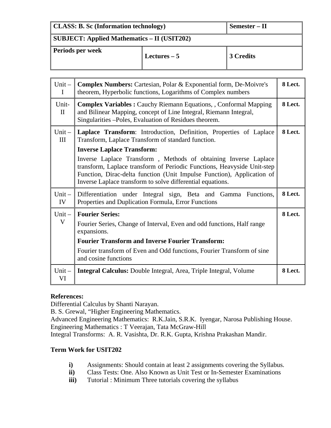| CLASS: B. Sc (Information technology)                   |               | Semester – II |
|---------------------------------------------------------|---------------|---------------|
| $\parallel$ SUBJECT: Applied Mathematics – II (USIT202) |               |               |
| Periods per week                                        | Lectures $-5$ | 3 Credits     |

| $Unit -$<br>$\mathbf I$ | <b>Complex Numbers:</b> Cartesian, Polar & Exponential form, De-Moivre's<br>theorem, Hyperbolic functions, Logarithms of Complex numbers                                                                                                                                                                                                                                                                                                            |         |
|-------------------------|-----------------------------------------------------------------------------------------------------------------------------------------------------------------------------------------------------------------------------------------------------------------------------------------------------------------------------------------------------------------------------------------------------------------------------------------------------|---------|
| Unit-<br>$\mathbf{I}$   | <b>Complex Variables : Cauchy Riemann Equations, , Conformal Mapping</b><br>and Bilinear Mapping, concept of Line Integral, Riemann Integral,<br>Singularities - Poles, Evaluation of Residues theorem.                                                                                                                                                                                                                                             | 8 Lect. |
| $Unit -$<br>III         | Laplace Transform: Introduction, Definition, Properties of Laplace<br>Transform, Laplace Transform of standard function.<br><b>Inverse Laplace Transform:</b><br>Inverse Laplace Transform, Methods of obtaining Inverse Laplace<br>transform, Laplace transform of Periodic Functions, Heavyside Unit-step<br>Function, Dirac-delta function (Unit Impulse Function), Application of<br>Inverse Laplace transform to solve differential equations. | 8 Lect. |
| $Unit -$<br>IV          | Differentiation under Integral sign, Beta and Gamma Functions,<br>Properties and Duplication Formula, Error Functions                                                                                                                                                                                                                                                                                                                               | 8 Lect. |
| $Unit -$<br>V           | <b>Fourier Series:</b><br>Fourier Series, Change of Interval, Even and odd functions, Half range<br>expansions.<br><b>Fourier Transform and Inverse Fourier Transform:</b><br>Fourier transform of Even and Odd functions, Fourier Transform of sine<br>and cosine functions                                                                                                                                                                        | 8 Lect. |
| $Unit -$<br>VI          | <b>Integral Calculus:</b> Double Integral, Area, Triple Integral, Volume                                                                                                                                                                                                                                                                                                                                                                            | 8 Lect. |

#### **References:**

Differential Calculus by Shanti Narayan.

B. S. Grewal, "Higher Engineering Mathematics.

Advanced Engineering Mathematics: R.K.Jain, S.R.K. Iyengar, Narosa Publishing House. Engineering Mathematics : T Veerajan, Tata McGraw-Hill

Integral Transforms: A. R. Vasishta, Dr. R.K. Gupta, Krishna Prakashan Mandir.

- **i)** Assignments: Should contain at least 2 assignments covering the Syllabus.
- **ii)** Class Tests: One. Also Known as Unit Test or In-Semester Examinations
- **iii**) Tutorial : Minimum Three tutorials covering the syllabus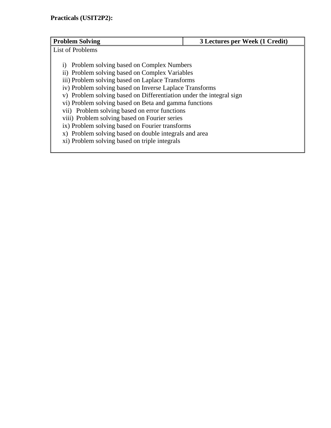| <b>Problem Solving</b>                                                                                                                                                                                                                                                                                                                                                                                                                                                                                                          | 3 Lectures per Week (1 Credit) |  |
|---------------------------------------------------------------------------------------------------------------------------------------------------------------------------------------------------------------------------------------------------------------------------------------------------------------------------------------------------------------------------------------------------------------------------------------------------------------------------------------------------------------------------------|--------------------------------|--|
|                                                                                                                                                                                                                                                                                                                                                                                                                                                                                                                                 |                                |  |
| <b>List of Problems</b><br>Problem solving based on Complex Numbers<br>1)<br>ii) Problem solving based on Complex Variables<br>iii) Problem solving based on Laplace Transforms<br>iv) Problem solving based on Inverse Laplace Transforms<br>v) Problem solving based on Differentiation under the integral sign<br>vi) Problem solving based on Beta and gamma functions<br>vii) Problem solving based on error functions<br>viii) Problem solving based on Fourier series<br>ix) Problem solving based on Fourier transforms |                                |  |
| x) Problem solving based on double integrals and area                                                                                                                                                                                                                                                                                                                                                                                                                                                                           |                                |  |
| xi) Problem solving based on triple integrals                                                                                                                                                                                                                                                                                                                                                                                                                                                                                   |                                |  |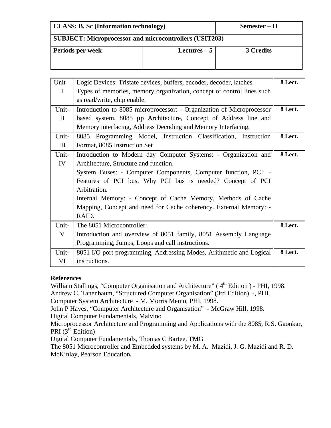| <b>CLASS: B. Sc (Information technology)</b>                  |               | Semester – II |
|---------------------------------------------------------------|---------------|---------------|
| <b>SUBJECT: Microprocessor and microcontrollers (USIT203)</b> |               |               |
| Periods per week                                              | Lectures $-5$ |               |

| $Unit -$    | Logic Devices: Tristate devices, buffers, encoder, decoder, latches.  | 8 Lect. |
|-------------|-----------------------------------------------------------------------|---------|
| $\mathbf I$ | Types of memories, memory organization, concept of control lines such |         |
|             | as read/write, chip enable.                                           |         |
| Unit-       | Introduction to 8085 microprocessor: - Organization of Microprocessor | 8 Lect. |
| $\Pi$       | based system, 8085 µp Architecture, Concept of Address line and       |         |
|             | Memory interfacing, Address Decoding and Memory Interfacing,          |         |
| Unit-       | 8085 Programming Model, Instruction Classification, Instruction       | 8 Lect. |
| III         | Format, 8085 Instruction Set                                          |         |
| Unit-       | Introduction to Modern day Computer Systems: - Organization and       | 8 Lect. |
| IV          | Architecture, Structure and function.                                 |         |
|             | System Buses: - Computer Components, Computer function, PCI: -        |         |
|             | Features of PCI bus, Why PCI bus is needed? Concept of PCI            |         |
|             | Arbitration.                                                          |         |
|             | Internal Memory: - Concept of Cache Memory, Methods of Cache          |         |
|             | Mapping, Concept and need for Cache coherency. External Memory: -     |         |
|             | RAID.                                                                 |         |
| Unit-       | The 8051 Microcontroller:                                             | 8 Lect. |
| V           | Introduction and overview of 8051 family, 8051 Assembly Language      |         |
|             | Programming, Jumps, Loops and call instructions.                      |         |
| Unit-       | 8051 I/O port programming, Addressing Modes, Arithmetic and Logical   | 8 Lect. |
| VI          | instructions.                                                         |         |

# **References**

William Stallings, "Computer Organisation and Architecture" (4<sup>th</sup> Edition ) - PHI, 1998.

Andrew C. Tanenbaum, "Structured Computer Organisation" (3rd Edition) -, PHI.

Computer System Architecture - M. Morris Memo, PHI, 1998.

John P Hayes, "Computer Architecture and Organisation" - McGraw Hill, 1998.

Digital Computer Fundamentals, Malvino

Microprocessor Architecture and Programming and Applications with the 8085, R.S. Gaonkar, PRI  $(3^{rd}$  Edition)

Digital Computer Fundamentals, Thomas C Bartee, TMG

The 8051 Microcontroller and Embedded systems by M. A. Mazidi, J. G. Mazidi and R. D. McKinlay, Pearson Education**.**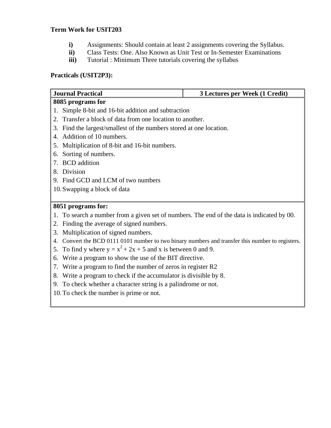# **Term Work for USIT203**

- **i)** Assignments: Should contain at least 2 assignments covering the Syllabus.
- **ii)** Class Tests: One. Also Known as Unit Test or In-Semester Examinations
- **iii**) Tutorial : Minimum Three tutorials covering the syllabus

# **Practicals (USIT2P3):**

| <b>Journal Practical</b><br>3 Lectures per Week (1 Credit)                                       |  |  |  |  |
|--------------------------------------------------------------------------------------------------|--|--|--|--|
| 8085 programs for                                                                                |  |  |  |  |
| 1. Simple 8-bit and 16-bit addition and subtraction                                              |  |  |  |  |
| 2. Transfer a block of data from one location to another.                                        |  |  |  |  |
| 3. Find the largest/smallest of the numbers stored at one location.                              |  |  |  |  |
| 4. Addition of 10 numbers.                                                                       |  |  |  |  |
| 5. Multiplication of 8-bit and 16-bit numbers.                                                   |  |  |  |  |
| 6. Sorting of numbers.                                                                           |  |  |  |  |
| 7. BCD addition                                                                                  |  |  |  |  |
| 8. Division                                                                                      |  |  |  |  |
| 9. Find GCD and LCM of two numbers                                                               |  |  |  |  |
| 10. Swapping a block of data                                                                     |  |  |  |  |
|                                                                                                  |  |  |  |  |
| 8051 programs for:                                                                               |  |  |  |  |
| 1. To search a number from a given set of numbers. The end of the data is indicated by 00.       |  |  |  |  |
| 2. Finding the average of signed numbers.                                                        |  |  |  |  |
| 3. Multiplication of signed numbers.                                                             |  |  |  |  |
| 4. Convert the BCD 0111 0101 number to two binary numbers and transfer this number to registers. |  |  |  |  |

- 5. To find y where  $y = x^2 + 2x + 5$  and x is between 0 and 9.
- 6. Write a program to show the use of the BIT directive.
- 7. Write a program to find the number of zeros in register R2
- 8. Write a program to check if the accumulator is divisible by 8.
- 9. To check whether a character string is a palindrome or not.
- 10.To check the number is prime or not.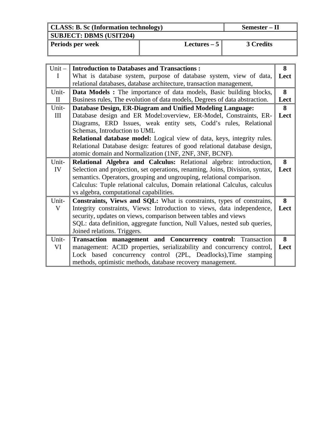| <b>CLASS: B. Sc (Information technology)</b> | Semester – II |                  |  |
|----------------------------------------------|---------------|------------------|--|
| <b>SUBJECT: DBMS (USIT204)</b>               |               |                  |  |
| <b>Periods per week</b>                      | Lectures $-5$ | <b>3 Credits</b> |  |

| $Unit -$     | <b>Introduction to Databases and Transactions:</b>                           | 8    |  |  |  |
|--------------|------------------------------------------------------------------------------|------|--|--|--|
| I            | What is database system, purpose of database system, view of data,           | Lect |  |  |  |
|              | relational databases, database architecture, transaction management,         |      |  |  |  |
| Unit-        | Data Models : The importance of data models, Basic building blocks,          | 8    |  |  |  |
| $\mathbf{I}$ | Business rules, The evolution of data models, Degrees of data abstraction.   | Lect |  |  |  |
| Unit-        | Database Design, ER-Diagram and Unified Modeling Language:                   | 8    |  |  |  |
| III          | Database design and ER Model:overview, ER-Model, Constraints, ER-            | Lect |  |  |  |
|              | Diagrams, ERD Issues, weak entity sets, Codd's rules, Relational             |      |  |  |  |
|              | Schemas, Introduction to UML                                                 |      |  |  |  |
|              | Relational database model: Logical view of data, keys, integrity rules.      |      |  |  |  |
|              | Relational Database design: features of good relational database design,     |      |  |  |  |
|              | atomic domain and Normalization (1NF, 2NF, 3NF, BCNF).                       |      |  |  |  |
| Unit-        | Relational Algebra and Calculus: Relational algebra: introduction,           | 8    |  |  |  |
| IV           | Selection and projection, set operations, renaming, Joins, Division, syntax, | Lect |  |  |  |
|              | semantics. Operators, grouping and ungrouping, relational comparison.        |      |  |  |  |
|              | Calculus: Tuple relational calculus, Domain relational Calculus, calculus    |      |  |  |  |
|              | vs algebra, computational capabilities.                                      |      |  |  |  |
| Unit-        | Constraints, Views and SQL: What is constraints, types of constrains,        | 8    |  |  |  |
| V            | Integrity constraints, Views: Introduction to views, data independence,      | Lect |  |  |  |
|              | security, updates on views, comparison between tables and views              |      |  |  |  |
|              | SQL: data definition, aggregate function, Null Values, nested sub queries,   |      |  |  |  |
|              | Joined relations. Triggers.                                                  |      |  |  |  |
| Unit-        | <b>Transaction management and Concurrency control:</b> Transaction           | 8    |  |  |  |
| VI           | management: ACID properties, serializability and concurrency control,        | Lect |  |  |  |
|              | Lock based concurrency control (2PL, Deadlocks), Time stamping               |      |  |  |  |
|              | methods, optimistic methods, database recovery management.                   |      |  |  |  |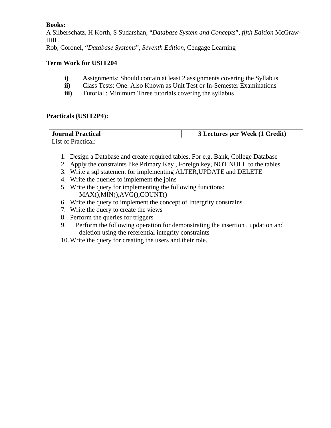### **Books:**

A Silberschatz, H Korth, S Sudarshan, "*Database System and Concepts*", *fifth Edition* McGraw-Hill ,

Rob, Coronel, "*Database Systems*", *Seventh Edition*, Cengage Learning

# **Term Work for USIT204**

- **i)** Assignments: Should contain at least 2 assignments covering the Syllabus.
- **ii)** Class Tests: One. Also Known as Unit Test or In-Semester Examinations
- **iii**) Tutorial : Minimum Three tutorials covering the syllabus

# **Practicals (USIT2P4):**

**Journal Practical 3 Lectures per Week (1 Credit)**  List of Practical:

- 1. Design a Database and create required tables. For e.g. Bank, College Database
- 2. Apply the constraints like Primary Key , Foreign key, NOT NULL to the tables.
- 3. Write a sql statement for implementing ALTER,UPDATE and DELETE
- 4. Write the queries to implement the joins
- 5. Write the query for implementing the following functions: MAX(),MIN(),AVG(),COUNT()
- 6. Write the query to implement the concept of Intergrity constrains
- 7. Write the query to create the views
- 8. Perform the queries for triggers
- 9. Perform the following operation for demonstrating the insertion , updation and deletion using the referential integrity constraints
- 10.Write the query for creating the users and their role.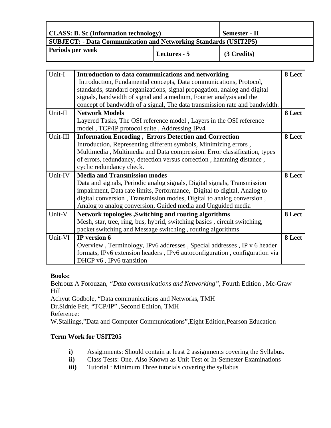| <b>CLASS: B. Sc (Information technology)</b>                            |              | <b>Semester - II</b> |
|-------------------------------------------------------------------------|--------------|----------------------|
| <b>SUBJECT: - Data Communication and Networking Standards (USIT2P5)</b> |              |                      |
| <b>Periods per week</b>                                                 | Lectures - 5 | $\vert$ (3 Credits)  |

| <b>Lectures - 5</b> |  |
|---------------------|--|
|---------------------|--|

| Unit-I   | Introduction to data communications and networking                          | 8 Lect |
|----------|-----------------------------------------------------------------------------|--------|
|          | Introduction, Fundamental concepts, Data communications, Protocol,          |        |
|          | standards, standard organizations, signal propagation, analog and digital   |        |
|          | signals, bandwidth of signal and a medium, Fourier analysis and the         |        |
|          | concept of bandwidth of a signal, The data transmission rate and bandwidth. |        |
| Unit-II  | <b>Network Models</b>                                                       | 8 Lect |
|          | Layered Tasks, The OSI reference model, Layers in the OSI reference         |        |
|          | model, TCP/IP protocol suite, Addressing IPv4                               |        |
| Unit-III | <b>Information Encoding, Errors Detection and Correction</b>                | 8 Lect |
|          | Introduction, Representing different symbols, Minimizing errors,            |        |
|          | Multimedia, Multimedia and Data compression. Error classification, types    |        |
|          | of errors, redundancy, detection versus correction, hamming distance,       |        |
|          | cyclic redundancy check.                                                    |        |
| Unit-IV  | <b>Media and Transmission modes</b>                                         | 8 Lect |
|          | Data and signals, Periodic analog signals, Digital signals, Transmission    |        |
|          | impairment, Data rate limits, Performance, Digital to digital, Analog to    |        |
|          | digital conversion, Transmission modes, Digital to analog conversion,       |        |
|          | Analog to analog conversion, Guided media and Unguided media                |        |
| Unit-V   | <b>Network topologies , Switching and routing algorithms</b>                | 8 Lect |
|          | Mesh, star, tree, ring, bus, hybrid, switching basics, circuit switching,   |        |
|          | packet switching and Message switching, routing algorithms                  |        |
| Unit-VI  | IP version 6                                                                | 8 Lect |
|          | Overview, Terminology, IPv6 addresses, Special addresses, IP v 6 header     |        |
|          | formats, IPv6 extension headers, IPv6 autoconfiguration, configuration via  |        |
|          | DHCP v6, IPv6 transition                                                    |        |

# **Books:**

Behrouz A Forouzan, *"Data communications and Networking"*, Fourth Edition , Mc-Graw Hill Achyut Godbole, "Data communications and Networks, TMH Dr.Sidnie Feit, "TCP/IP" ,Second Edition, TMH Reference:

W.Stallings,"Data and Computer Communications",Eight Edition,Pearson Education

- **i)** Assignments: Should contain at least 2 assignments covering the Syllabus.
- **ii)** Class Tests: One. Also Known as Unit Test or In-Semester Examinations
- **iii**) Tutorial : Minimum Three tutorials covering the syllabus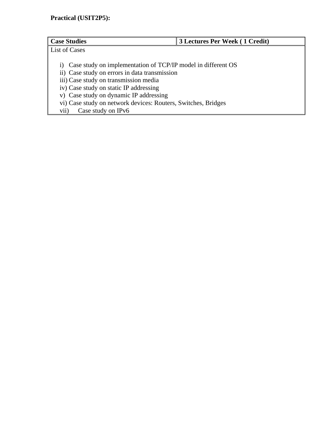| <b>Case Studies</b>                                                                                                                                                                                                                                                                                                                             | 3 Lectures Per Week (1 Credit) |
|-------------------------------------------------------------------------------------------------------------------------------------------------------------------------------------------------------------------------------------------------------------------------------------------------------------------------------------------------|--------------------------------|
| List of Cases                                                                                                                                                                                                                                                                                                                                   |                                |
| Case study on implementation of TCP/IP model in different OS<br>1)<br>ii) Case study on errors in data transmission<br>iii) Case study on transmission media<br>iv) Case study on static IP addressing<br>v) Case study on dynamic IP addressing<br>vi) Case study on network devices: Routers, Switches, Bridges<br>Case study on IPv6<br>vii) |                                |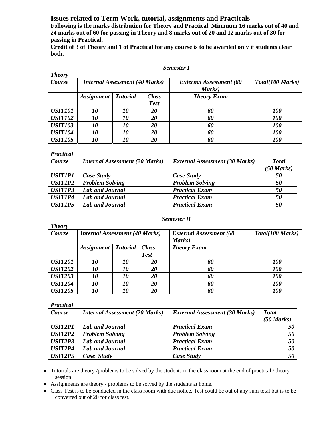**Issues related to Term Work, tutorial, assignments and Practicals** 

**Following is the marks distribution for Theory and Practical. Minimum 16 marks out of 40 and 24 marks out of 60 for passing in Theory and 8 marks out of 20 and 12 marks out of 30 for passing in Practical.** 

**Credit of 3 of Theory and 1 of Practical for any course is to be awarded only if students clear both.** 

#### *Semester I*

| <b>Theory</b>  |                                       |                 |              |                                |                  |
|----------------|---------------------------------------|-----------------|--------------|--------------------------------|------------------|
| Course         | <b>Internal Assessment (40 Marks)</b> |                 |              | <b>External Assessment (60</b> | Total(100 Marks) |
|                |                                       |                 |              | Marks)                         |                  |
|                | <i><b>Assignment</b></i>              | <b>Tutorial</b> | <b>Class</b> | <b>Theory Exam</b>             |                  |
|                |                                       |                 | <b>Test</b>  |                                |                  |
| <b>USIT101</b> | 10                                    | 10              | 20           | 60                             | <i>100</i>       |
| <b>USIT102</b> | 10                                    | <i>10</i>       | 20           | 60                             | <i>100</i>       |
| <b>USIT103</b> | 10                                    | 10              | 20           | 60                             | <b>100</b>       |
| <b>USIT104</b> | 10                                    | 10              | 20           | 60                             | <b>100</b>       |
| <b>USIT105</b> | 10                                    | 10              | 20           | 60                             | <i>100</i>       |

#### *Practical*

*Theory* 

| Course         | <b>Internal Assessment (20 Marks)</b> | <b>External Assessment (30 Marks)</b> | <b>Total</b><br>$(50 \text{ Marks})$ |
|----------------|---------------------------------------|---------------------------------------|--------------------------------------|
| <b>USIT1P1</b> | Case Study                            | <b>Case Study</b>                     | 50                                   |
| <b>USIT1P2</b> | <b>Problem Solving</b>                | <b>Problem Solving</b>                | 50                                   |
| <b>USITIP3</b> | <b>Lab and Journal</b>                | <b>Practical Exam</b>                 | 50                                   |
| USIT1P4        | Lab and Journal                       | <b>Practical Exam</b>                 | 50                                   |
| <b>USIT1P5</b> | Lab and Journal                       | <b>Practical Exam</b>                 | 50                                   |

#### *Semester II*

| 1 nevi y       |                                       |           |                                |                    |            |  |
|----------------|---------------------------------------|-----------|--------------------------------|--------------------|------------|--|
| Course         | <b>Internal Assessment (40 Marks)</b> |           | <b>External Assessment (60</b> | Total(100 Marks)   |            |  |
|                |                                       |           |                                | Marks)             |            |  |
|                | <b>Assignment</b>   Tutorial   Class  |           |                                | <b>Theory Exam</b> |            |  |
|                |                                       |           | <b>Test</b>                    |                    |            |  |
| <b>USIT201</b> | 10                                    | <i>10</i> | 20                             | 60                 | <i>100</i> |  |
| <b>USIT202</b> | 10                                    | 10        | 20                             | 60                 | <b>100</b> |  |
| <b>USIT203</b> | 10                                    | <i>10</i> | 20                             | 60                 | <b>100</b> |  |
| <b>USIT204</b> | 10                                    | 10        | 20                             | 60                 | <b>100</b> |  |
| <b>USIT205</b> | 10                                    | <i>10</i> | <i>20</i>                      | 60                 | <i>100</i> |  |

#### *Practical*

| 2 I WUVVUW     |                                       |                                       |                      |
|----------------|---------------------------------------|---------------------------------------|----------------------|
| Course         | <b>Internal Assessment (20 Marks)</b> | <b>External Assessment (30 Marks)</b> | <b>Total</b>         |
|                |                                       |                                       | $(50 \text{ Marks})$ |
| <b>USIT2P1</b> | Lab and Journal                       | <b>Practical Exam</b>                 | 50                   |
| USIT2P2        | <b>Problem Solving</b>                | <b>Problem Solving</b>                | 50                   |
| USIT2P3        | Lab and Journal                       | <b>Practical Exam</b>                 | 50                   |
| USIT2P4        | Lab and Journal                       | <b>Practical Exam</b>                 | 50                   |
| USIT2P5        | Case Study                            | Case Study                            | 50                   |

• Tutorials are theory /problems to be solved by the students in the class room at the end of practical / theory session

- Assignments are theory / problems to be solved by the students at home.
- Class Test is to be conducted in the class room with due notice. Test could be out of any sum total but is to be converted out of 20 for class test.